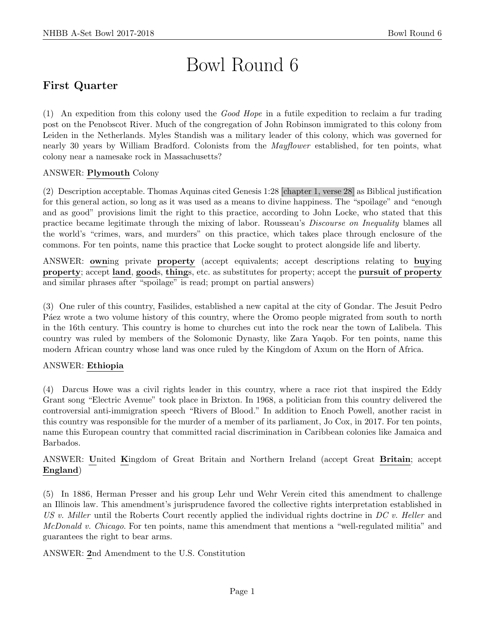# Bowl Round 6

# First Quarter

(1) An expedition from this colony used the Good Hope in a futile expedition to reclaim a fur trading post on the Penobscot River. Much of the congregation of John Robinson immigrated to this colony from Leiden in the Netherlands. Myles Standish was a military leader of this colony, which was governed for nearly 30 years by William Bradford. Colonists from the *Mayflower* established, for ten points, what colony near a namesake rock in Massachusetts?

# ANSWER: Plymouth Colony

(2) Description acceptable. Thomas Aquinas cited Genesis 1:28 [chapter 1, verse 28] as Biblical justification for this general action, so long as it was used as a means to divine happiness. The "spoilage" and "enough and as good" provisions limit the right to this practice, according to John Locke, who stated that this practice became legitimate through the mixing of labor. Rousseau's Discourse on Inequality blames all the world's "crimes, wars, and murders" on this practice, which takes place through enclosure of the commons. For ten points, name this practice that Locke sought to protect alongside life and liberty.

ANSWER: owning private property (accept equivalents; accept descriptions relating to buying property; accept land, goods, things, etc. as substitutes for property; accept the pursuit of property and similar phrases after "spoilage" is read; prompt on partial answers)

(3) One ruler of this country, Fasilides, established a new capital at the city of Gondar. The Jesuit Pedro P<sub>a</sub> external vector words wrote a two volume history of this country, where the Oromo people migrated from south to north in the 16th century. This country is home to churches cut into the rock near the town of Lalibela. This country was ruled by members of the Solomonic Dynasty, like Zara Yaqob. For ten points, name this modern African country whose land was once ruled by the Kingdom of Axum on the Horn of Africa.

# ANSWER: Ethiopia

(4) Darcus Howe was a civil rights leader in this country, where a race riot that inspired the Eddy Grant song "Electric Avenue" took place in Brixton. In 1968, a politician from this country delivered the controversial anti-immigration speech "Rivers of Blood." In addition to Enoch Powell, another racist in this country was responsible for the murder of a member of its parliament, Jo Cox, in 2017. For ten points, name this European country that committed racial discrimination in Caribbean colonies like Jamaica and Barbados.

ANSWER: United Kingdom of Great Britain and Northern Ireland (accept Great Britain; accept England)

(5) In 1886, Herman Presser and his group Lehr und Wehr Verein cited this amendment to challenge an Illinois law. This amendment's jurisprudence favored the collective rights interpretation established in US v. Miller until the Roberts Court recently applied the individual rights doctrine in  $DC$  v. Heller and McDonald v. Chicago. For ten points, name this amendment that mentions a "well-regulated militia" and guarantees the right to bear arms.

ANSWER: 2nd Amendment to the U.S. Constitution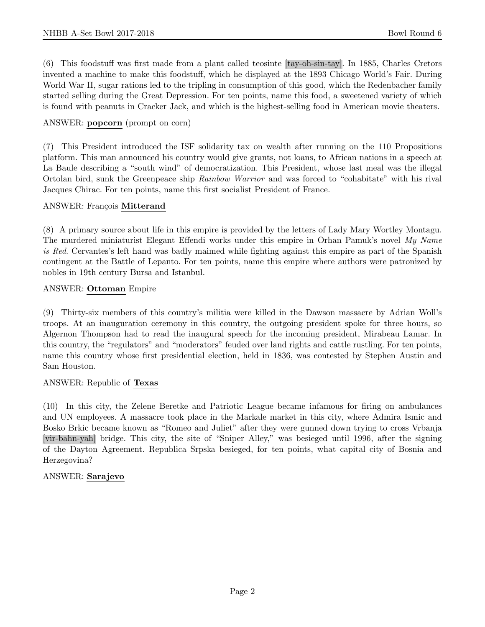(6) This foodstuff was first made from a plant called teosinte [tay-oh-sin-tay]. In 1885, Charles Cretors invented a machine to make this foodstuff, which he displayed at the 1893 Chicago World's Fair. During World War II, sugar rations led to the tripling in consumption of this good, which the Redenbacher family started selling during the Great Depression. For ten points, name this food, a sweetened variety of which is found with peanuts in Cracker Jack, and which is the highest-selling food in American movie theaters.

#### ANSWER: popcorn (prompt on corn)

(7) This President introduced the ISF solidarity tax on wealth after running on the 110 Propositions platform. This man announced his country would give grants, not loans, to African nations in a speech at La Baule describing a "south wind" of democratization. This President, whose last meal was the illegal Ortolan bird, sunk the Greenpeace ship Rainbow Warrior and was forced to "cohabitate" with his rival Jacques Chirac. For ten points, name this first socialist President of France.

#### ANSWER: François Mitterand

(8) A primary source about life in this empire is provided by the letters of Lady Mary Wortley Montagu. The murdered miniaturist Elegant Effendi works under this empire in Orhan Pamuk's novel My Name is Red. Cervantes's left hand was badly maimed while fighting against this empire as part of the Spanish contingent at the Battle of Lepanto. For ten points, name this empire where authors were patronized by nobles in 19th century Bursa and Istanbul.

#### ANSWER: Ottoman Empire

(9) Thirty-six members of this country's militia were killed in the Dawson massacre by Adrian Woll's troops. At an inauguration ceremony in this country, the outgoing president spoke for three hours, so Algernon Thompson had to read the inaugural speech for the incoming president, Mirabeau Lamar. In this country, the "regulators" and "moderators" feuded over land rights and cattle rustling. For ten points, name this country whose first presidential election, held in 1836, was contested by Stephen Austin and Sam Houston.

# ANSWER: Republic of Texas

(10) In this city, the Zelene Beretke and Patriotic League became infamous for firing on ambulances and UN employees. A massacre took place in the Markale market in this city, where Admira Ismic and Bosko Brkic became known as "Romeo and Juliet" after they were gunned down trying to cross Vrbanja [vir-bahn-yah] bridge. This city, the site of "Sniper Alley," was besieged until 1996, after the signing of the Dayton Agreement. Republica Srpska besieged, for ten points, what capital city of Bosnia and Herzegovina?

# ANSWER: Sarajevo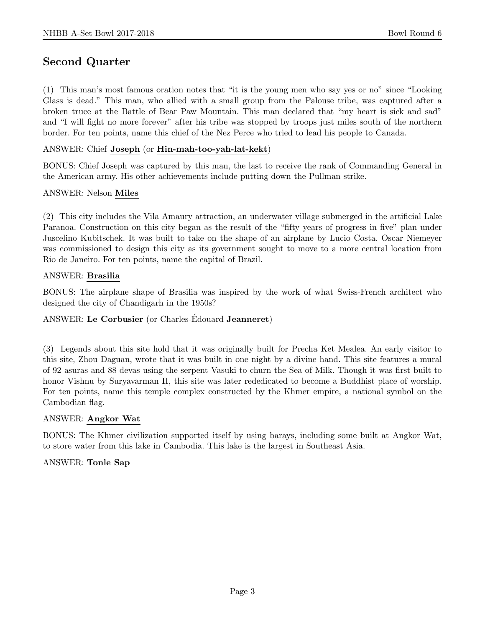# Second Quarter

(1) This man's most famous oration notes that "it is the young men who say yes or no" since "Looking Glass is dead." This man, who allied with a small group from the Palouse tribe, was captured after a broken truce at the Battle of Bear Paw Mountain. This man declared that "my heart is sick and sad" and "I will fight no more forever" after his tribe was stopped by troops just miles south of the northern border. For ten points, name this chief of the Nez Perce who tried to lead his people to Canada.

#### ANSWER: Chief Joseph (or Hin-mah-too-yah-lat-kekt)

BONUS: Chief Joseph was captured by this man, the last to receive the rank of Commanding General in the American army. His other achievements include putting down the Pullman strike.

#### ANSWER: Nelson Miles

(2) This city includes the Vila Amaury attraction, an underwater village submerged in the artificial Lake Paranoa. Construction on this city began as the result of the "fifty years of progress in five" plan under Juscelino Kubitschek. It was built to take on the shape of an airplane by Lucio Costa. Oscar Niemeyer was commissioned to design this city as its government sought to move to a more central location from Rio de Janeiro. For ten points, name the capital of Brazil.

#### ANSWER: Brasilia

BONUS: The airplane shape of Brasilia was inspired by the work of what Swiss-French architect who designed the city of Chandigarh in the 1950s?

# ANSWER: Le Corbusier (or Charles-Édouard Jeanneret)

(3) Legends about this site hold that it was originally built for Precha Ket Mealea. An early visitor to this site, Zhou Daguan, wrote that it was built in one night by a divine hand. This site features a mural of 92 asuras and 88 devas using the serpent Vasuki to churn the Sea of Milk. Though it was first built to honor Vishnu by Suryavarman II, this site was later rededicated to become a Buddhist place of worship. For ten points, name this temple complex constructed by the Khmer empire, a national symbol on the Cambodian flag.

#### ANSWER: Angkor Wat

BONUS: The Khmer civilization supported itself by using barays, including some built at Angkor Wat, to store water from this lake in Cambodia. This lake is the largest in Southeast Asia.

# ANSWER: Tonle Sap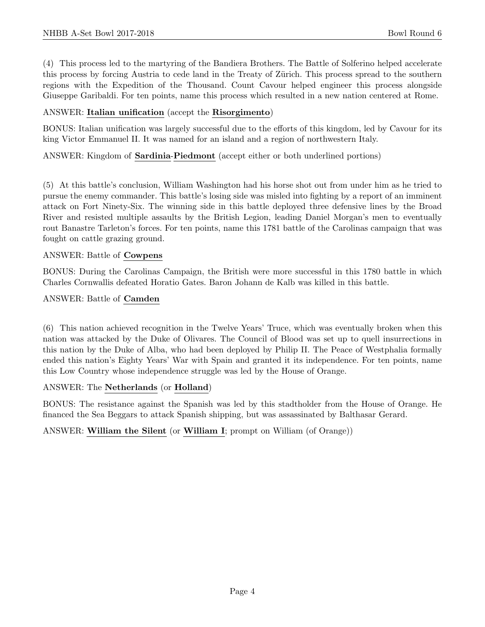(4) This process led to the martyring of the Bandiera Brothers. The Battle of Solferino helped accelerate this process by forcing Austria to cede land in the Treaty of Zürich. This process spread to the southern regions with the Expedition of the Thousand. Count Cavour helped engineer this process alongside Giuseppe Garibaldi. For ten points, name this process which resulted in a new nation centered at Rome.

#### ANSWER: Italian unification (accept the Risorgimento)

BONUS: Italian unification was largely successful due to the efforts of this kingdom, led by Cavour for its king Victor Emmanuel II. It was named for an island and a region of northwestern Italy.

#### ANSWER: Kingdom of Sardinia-Piedmont (accept either or both underlined portions)

(5) At this battle's conclusion, William Washington had his horse shot out from under him as he tried to pursue the enemy commander. This battle's losing side was misled into fighting by a report of an imminent attack on Fort Ninety-Six. The winning side in this battle deployed three defensive lines by the Broad River and resisted multiple assaults by the British Legion, leading Daniel Morgan's men to eventually rout Banastre Tarleton's forces. For ten points, name this 1781 battle of the Carolinas campaign that was fought on cattle grazing ground.

#### ANSWER: Battle of Cowpens

BONUS: During the Carolinas Campaign, the British were more successful in this 1780 battle in which Charles Cornwallis defeated Horatio Gates. Baron Johann de Kalb was killed in this battle.

#### ANSWER: Battle of Camden

(6) This nation achieved recognition in the Twelve Years' Truce, which was eventually broken when this nation was attacked by the Duke of Olivares. The Council of Blood was set up to quell insurrections in this nation by the Duke of Alba, who had been deployed by Philip II. The Peace of Westphalia formally ended this nation's Eighty Years' War with Spain and granted it its independence. For ten points, name this Low Country whose independence struggle was led by the House of Orange.

#### ANSWER: The Netherlands (or Holland)

BONUS: The resistance against the Spanish was led by this stadtholder from the House of Orange. He financed the Sea Beggars to attack Spanish shipping, but was assassinated by Balthasar Gerard.

# ANSWER: William the Silent (or William I; prompt on William (of Orange))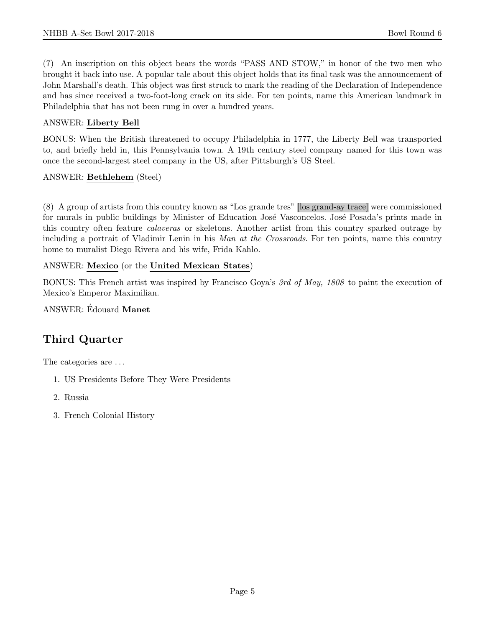(7) An inscription on this object bears the words "PASS AND STOW," in honor of the two men who brought it back into use. A popular tale about this object holds that its final task was the announcement of John Marshall's death. This object was first struck to mark the reading of the Declaration of Independence and has since received a two-foot-long crack on its side. For ten points, name this American landmark in Philadelphia that has not been rung in over a hundred years.

# ANSWER: Liberty Bell

BONUS: When the British threatened to occupy Philadelphia in 1777, the Liberty Bell was transported to, and briefly held in, this Pennsylvania town. A 19th century steel company named for this town was once the second-largest steel company in the US, after Pittsburgh's US Steel.

# ANSWER: Bethlehem (Steel)

(8) A group of artists from this country known as "Los grande tres" [los grand-ay trace] were commissioned for murals in public buildings by Minister of Education José Vasconcelos. José Posada's prints made in this country often feature calaveras or skeletons. Another artist from this country sparked outrage by including a portrait of Vladimir Lenin in his Man at the Crossroads. For ten points, name this country home to muralist Diego Rivera and his wife, Frida Kahlo.

# ANSWER: Mexico (or the United Mexican States)

BONUS: This French artist was inspired by Francisco Goya's 3rd of May, 1808 to paint the execution of Mexico's Emperor Maximilian.

# ANSWER: Édouard Manet

# Third Quarter

The categories are . . .

- 1. US Presidents Before They Were Presidents
- 2. Russia
- 3. French Colonial History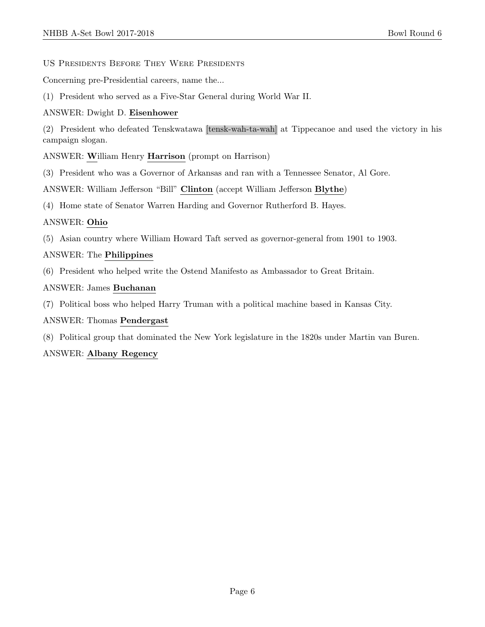#### US Presidents Before They Were Presidents

Concerning pre-Presidential careers, name the...

(1) President who served as a Five-Star General during World War II.

# ANSWER: Dwight D. Eisenhower

(2) President who defeated Tenskwatawa [tensk-wah-ta-wah] at Tippecanoe and used the victory in his campaign slogan.

ANSWER: William Henry Harrison (prompt on Harrison)

(3) President who was a Governor of Arkansas and ran with a Tennessee Senator, Al Gore.

ANSWER: William Jefferson "Bill" Clinton (accept William Jefferson Blythe)

(4) Home state of Senator Warren Harding and Governor Rutherford B. Hayes.

# ANSWER: Ohio

(5) Asian country where William Howard Taft served as governor-general from 1901 to 1903.

# ANSWER: The Philippines

(6) President who helped write the Ostend Manifesto as Ambassador to Great Britain.

# ANSWER: James Buchanan

(7) Political boss who helped Harry Truman with a political machine based in Kansas City.

# ANSWER: Thomas Pendergast

(8) Political group that dominated the New York legislature in the 1820s under Martin van Buren.

# ANSWER: Albany Regency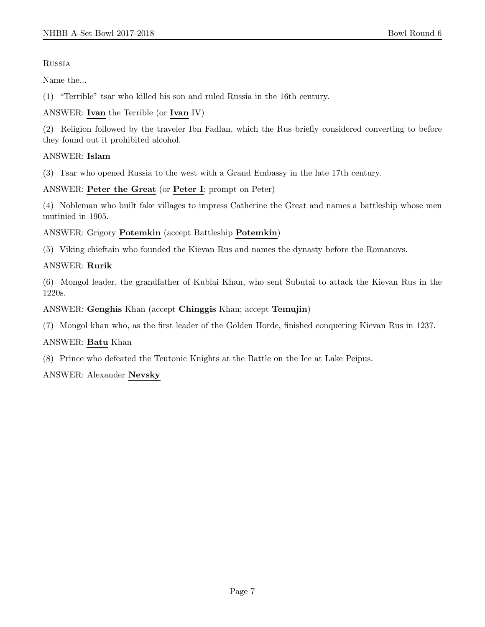**RUSSIA** 

Name the...

(1) "Terrible" tsar who killed his son and ruled Russia in the 16th century.

# ANSWER: Ivan the Terrible (or Ivan IV)

(2) Religion followed by the traveler Ibn Fadlan, which the Rus briefly considered converting to before they found out it prohibited alcohol.

# ANSWER: Islam

(3) Tsar who opened Russia to the west with a Grand Embassy in the late 17th century.

# ANSWER: Peter the Great (or Peter I; prompt on Peter)

(4) Nobleman who built fake villages to impress Catherine the Great and names a battleship whose men mutinied in 1905.

ANSWER: Grigory Potemkin (accept Battleship Potemkin)

(5) Viking chieftain who founded the Kievan Rus and names the dynasty before the Romanovs.

# ANSWER: Rurik

(6) Mongol leader, the grandfather of Kublai Khan, who sent Subutai to attack the Kievan Rus in the 1220s.

# ANSWER: Genghis Khan (accept Chinggis Khan; accept Temujin)

(7) Mongol khan who, as the first leader of the Golden Horde, finished conquering Kievan Rus in 1237.

# ANSWER: Batu Khan

(8) Prince who defeated the Teutonic Knights at the Battle on the Ice at Lake Peipus.

# ANSWER: Alexander Nevsky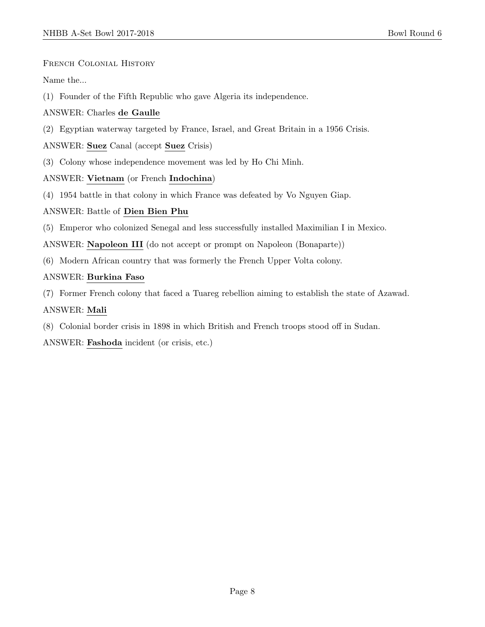French Colonial History

Name the...

(1) Founder of the Fifth Republic who gave Algeria its independence.

# ANSWER: Charles de Gaulle

(2) Egyptian waterway targeted by France, Israel, and Great Britain in a 1956 Crisis.

# ANSWER: Suez Canal (accept Suez Crisis)

(3) Colony whose independence movement was led by Ho Chi Minh.

# ANSWER: Vietnam (or French Indochina)

(4) 1954 battle in that colony in which France was defeated by Vo Nguyen Giap.

# ANSWER: Battle of Dien Bien Phu

(5) Emperor who colonized Senegal and less successfully installed Maximilian I in Mexico.

ANSWER: Napoleon III (do not accept or prompt on Napoleon (Bonaparte))

(6) Modern African country that was formerly the French Upper Volta colony.

# ANSWER: Burkina Faso

(7) Former French colony that faced a Tuareg rebellion aiming to establish the state of Azawad.

# ANSWER: Mali

(8) Colonial border crisis in 1898 in which British and French troops stood off in Sudan.

ANSWER: Fashoda incident (or crisis, etc.)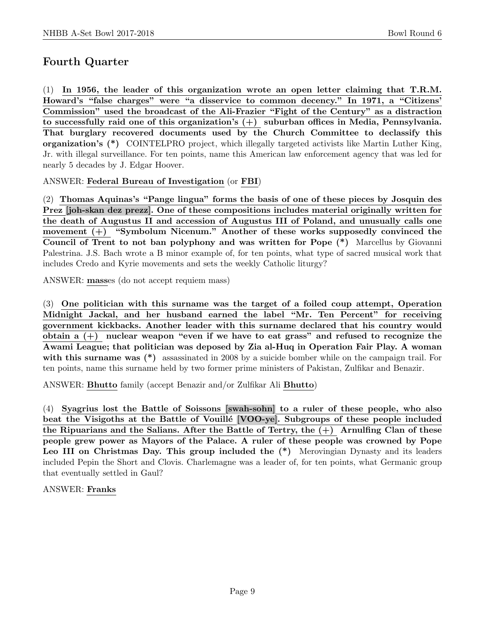# Fourth Quarter

(1) In 1956, the leader of this organization wrote an open letter claiming that T.R.M. Howard's "false charges" were "a disservice to common decency." In 1971, a "Citizens' Commission" used the broadcast of the Ali-Frazier "Fight of the Century" as a distraction to successfully raid one of this organization's (+) suburban offices in Media, Pennsylvania. That burglary recovered documents used by the Church Committee to declassify this organization's (\*) COINTELPRO project, which illegally targeted activists like Martin Luther King, Jr. with illegal surveillance. For ten points, name this American law enforcement agency that was led for nearly 5 decades by J. Edgar Hoover.

ANSWER: Federal Bureau of Investigation (or FBI)

(2) Thomas Aquinas's "Pange lingua" forms the basis of one of these pieces by Josquin des Prez [joh-skan dez prezz]. One of these compositions includes material originally written for the death of Augustus II and accession of Augustus III of Poland, and unusually calls one movement (+) "Symbolum Nicenum." Another of these works supposedly convinced the Council of Trent to not ban polyphony and was written for Pope (\*) Marcellus by Giovanni Palestrina. J.S. Bach wrote a B minor example of, for ten points, what type of sacred musical work that includes Credo and Kyrie movements and sets the weekly Catholic liturgy?

ANSWER: masses (do not accept requiem mass)

(3) One politician with this surname was the target of a foiled coup attempt, Operation Midnight Jackal, and her husband earned the label "Mr. Ten Percent" for receiving government kickbacks. Another leader with this surname declared that his country would obtain a  $(+)$  nuclear weapon "even if we have to eat grass" and refused to recognize the Awami League; that politician was deposed by Zia al-Huq in Operation Fair Play. A woman with this surname was (\*) assassinated in 2008 by a suicide bomber while on the campaign trail. For ten points, name this surname held by two former prime ministers of Pakistan, Zulfikar and Benazir.

ANSWER: Bhutto family (accept Benazir and/or Zulfikar Ali Bhutto)

(4) Syagrius lost the Battle of Soissons [swah-sohn] to a ruler of these people, who also beat the Visigoths at the Battle of Vouillé [VOO-ye]. Subgroups of these people included the Ripuarians and the Salians. After the Battle of Tertry, the  $(+)$  Arnulfing Clan of these people grew power as Mayors of the Palace. A ruler of these people was crowned by Pope Leo III on Christmas Day. This group included the  $(*)$  Merovingian Dynasty and its leaders included Pepin the Short and Clovis. Charlemagne was a leader of, for ten points, what Germanic group that eventually settled in Gaul?

ANSWER: Franks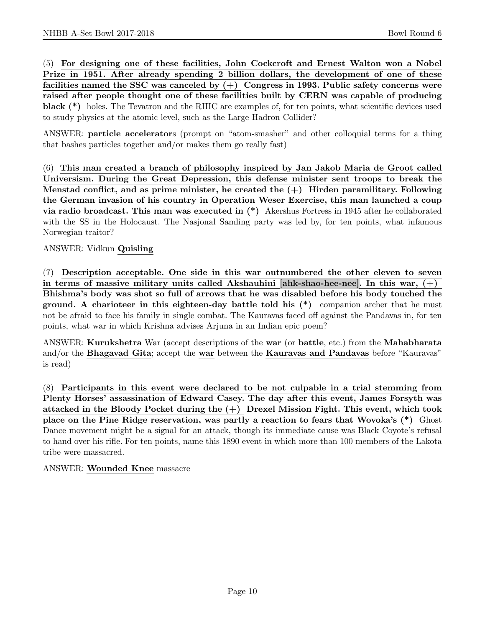(5) For designing one of these facilities, John Cockcroft and Ernest Walton won a Nobel Prize in 1951. After already spending 2 billion dollars, the development of one of these facilities named the SSC was canceled by  $(+)$  Congress in 1993. Public safety concerns were raised after people thought one of these facilities built by CERN was capable of producing black (\*) holes. The Tevatron and the RHIC are examples of, for ten points, what scientific devices used to study physics at the atomic level, such as the Large Hadron Collider?

ANSWER: particle accelerators (prompt on "atom-smasher" and other colloquial terms for a thing that bashes particles together and/or makes them go really fast)

(6) This man created a branch of philosophy inspired by Jan Jakob Maria de Groot called Universism. During the Great Depression, this defense minister sent troops to break the Menstad conflict, and as prime minister, he created the  $(+)$  Hirden paramilitary. Following the German invasion of his country in Operation Weser Exercise, this man launched a coup via radio broadcast. This man was executed in (\*) Akershus Fortress in 1945 after he collaborated with the SS in the Holocaust. The Nasjonal Samling party was led by, for ten points, what infamous Norwegian traitor?

# ANSWER: Vidkun Quisling

(7) Description acceptable. One side in this war outnumbered the other eleven to seven in terms of massive military units called Akshauhini [ahk-shao-hee-nee]. In this war,  $(+)$ Bhishma's body was shot so full of arrows that he was disabled before his body touched the ground. A charioteer in this eighteen-day battle told his (\*) companion archer that he must not be afraid to face his family in single combat. The Kauravas faced off against the Pandavas in, for ten points, what war in which Krishna advises Arjuna in an Indian epic poem?

ANSWER: Kurukshetra War (accept descriptions of the war (or battle, etc.) from the Mahabharata and/or the Bhagavad Gita; accept the war between the Kauravas and Pandavas before "Kauravas" is read)

(8) Participants in this event were declared to be not culpable in a trial stemming from Plenty Horses' assassination of Edward Casey. The day after this event, James Forsyth was attacked in the Bloody Pocket during the (+) Drexel Mission Fight. This event, which took place on the Pine Ridge reservation, was partly a reaction to fears that Wovoka's (\*) Ghost Dance movement might be a signal for an attack, though its immediate cause was Black Coyote's refusal to hand over his rifle. For ten points, name this 1890 event in which more than 100 members of the Lakota tribe were massacred.

#### ANSWER: Wounded Knee massacre